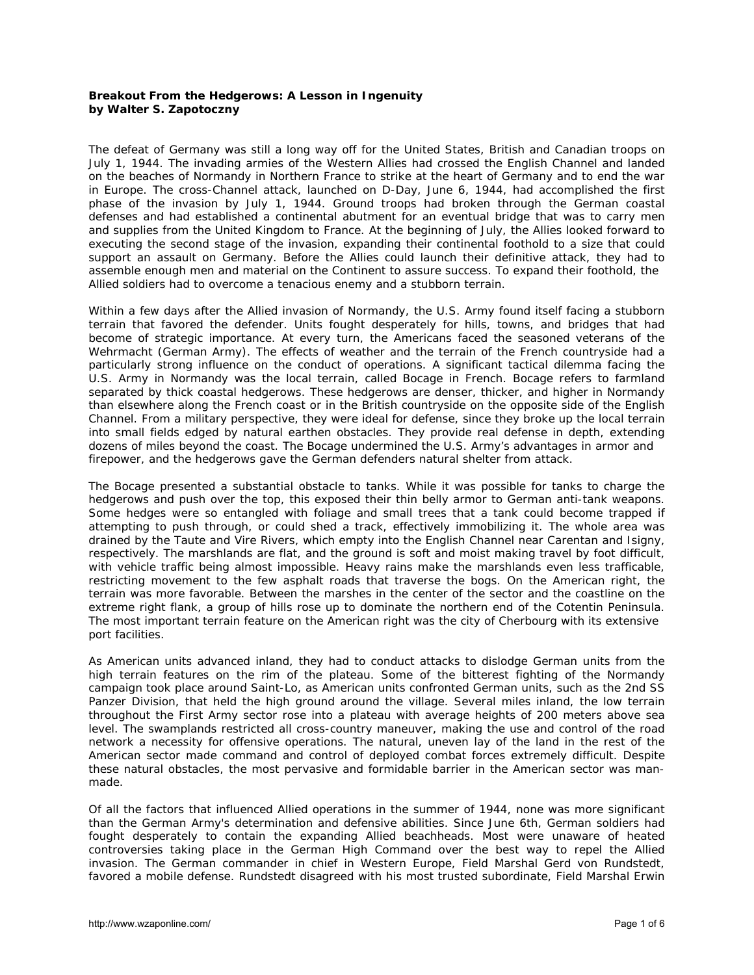## **Breakout From the Hedgerows: A Lesson in Ingenuity by Walter S. Zapotoczny**

The defeat of Germany was still a long way off for the United States, British and Canadian troops on July 1, 1944. The invading armies of the Western Allies had crossed the English Channel and landed on the beaches of Normandy in Northern France to strike at the heart of Germany and to end the war in Europe. The cross-Channel attack, launched on D-Day, June 6, 1944, had accomplished the first phase of the invasion by July 1, 1944. Ground troops had broken through the German coastal defenses and had established a continental abutment for an eventual bridge that was to carry men and supplies from the United Kingdom to France. At the beginning of July, the Allies looked forward to executing the second stage of the invasion, expanding their continental foothold to a size that could support an assault on Germany. Before the Allies could launch their definitive attack, they had to assemble enough men and material on the Continent to assure success. To expand their foothold, the Allied soldiers had to overcome a tenacious enemy and a stubborn terrain.

Within a few days after the Allied invasion of Normandy, the U.S. Army found itself facing a stubborn terrain that favored the defender. Units fought desperately for hills, towns, and bridges that had become of strategic importance. At every turn, the Americans faced the seasoned veterans of the *Wehrmacht* (German Army). The effects of weather and the terrain of the French countryside had a particularly strong influence on the conduct of operations. A significant tactical dilemma facing the U.S. Army in Normandy was the local terrain, called *Bocage* in French. *Bocage* refers to farmland separated by thick coastal hedgerows. These hedgerows are denser, thicker, and higher in Normandy than elsewhere along the French coast or in the British countryside on the opposite side of the English Channel. From a military perspective, they were ideal for defense, since they broke up the local terrain into small fields edged by natural earthen obstacles. They provide real defense in depth, extending dozens of miles beyond the coast. The *Bocage* undermined the U.S. Army's advantages in armor and firepower, and the hedgerows gave the German defenders natural shelter from attack.

The *Bocage* presented a substantial obstacle to tanks. While it was possible for tanks to charge the hedgerows and push over the top, this exposed their thin belly armor to German anti-tank weapons. Some hedges were so entangled with foliage and small trees that a tank could become trapped if attempting to push through, or could shed a track, effectively immobilizing it. The whole area was drained by the Taute and Vire Rivers, which empty into the English Channel near Carentan and Isigny, respectively. The marshlands are flat, and the ground is soft and moist making travel by foot difficult, with vehicle traffic being almost impossible. Heavy rains make the marshlands even less trafficable, restricting movement to the few asphalt roads that traverse the bogs. On the American right, the terrain was more favorable. Between the marshes in the center of the sector and the coastline on the extreme right flank, a group of hills rose up to dominate the northern end of the Cotentin Peninsula. The most important terrain feature on the American right was the city of Cherbourg with its extensive port facilities.

As American units advanced inland, they had to conduct attacks to dislodge German units from the high terrain features on the rim of the plateau. Some of the bitterest fighting of the Normandy campaign took place around Saint-Lo, as American units confronted German units, such as the 2nd SS Panzer Division, that held the high ground around the village. Several miles inland, the low terrain throughout the First Army sector rose into a plateau with average heights of 200 meters above sea level. The swamplands restricted all cross-country maneuver, making the use and control of the road network a necessity for offensive operations. The natural, uneven lay of the land in the rest of the American sector made command and control of deployed combat forces extremely difficult. Despite these natural obstacles, the most pervasive and formidable barrier in the American sector was manmade.

Of all the factors that influenced Allied operations in the summer of 1944, none was more significant than the German Army's determination and defensive abilities. Since June 6th, German soldiers had fought desperately to contain the expanding Allied beachheads. Most were unaware of heated controversies taking place in the German High Command over the best way to repel the Allied invasion. The German commander in chief in Western Europe, Field Marshal Gerd von Rundstedt, favored a mobile defense. Rundstedt disagreed with his most trusted subordinate, Field Marshal Erwin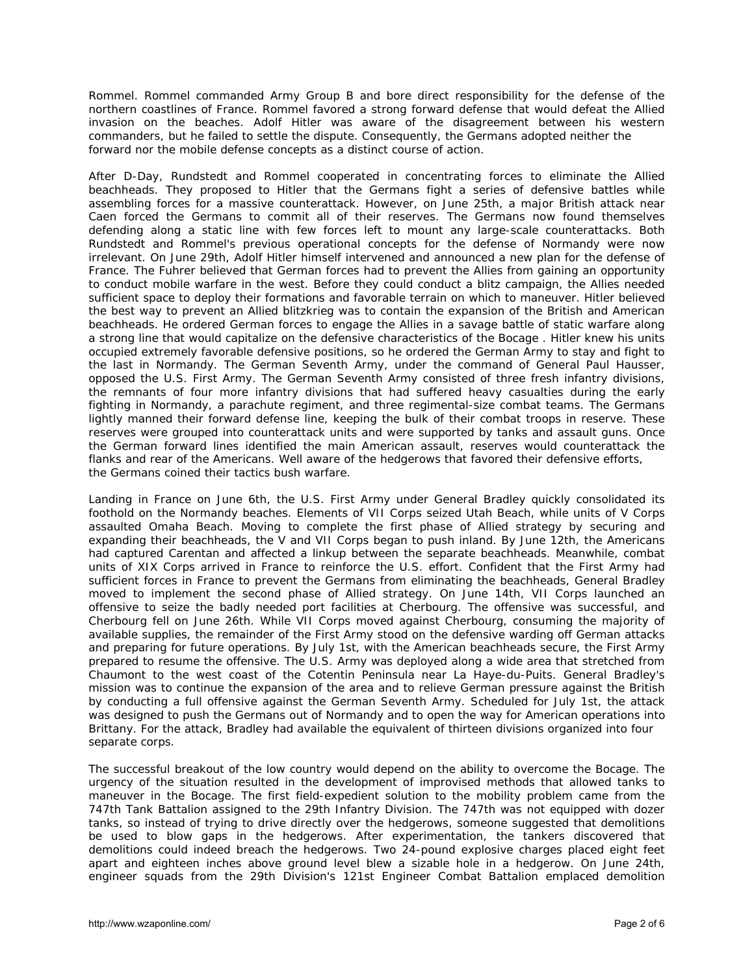Rommel. Rommel commanded Army Group B and bore direct responsibility for the defense of the northern coastlines of France. Rommel favored a strong forward defense that would defeat the Allied invasion on the beaches. Adolf Hitler was aware of the disagreement between his western commanders, but he failed to settle the dispute. Consequently, the Germans adopted neither the forward nor the mobile defense concepts as a distinct course of action.

After D-Day, Rundstedt and Rommel cooperated in concentrating forces to eliminate the Allied beachheads. They proposed to Hitler that the Germans fight a series of defensive battles while assembling forces for a massive counterattack. However, on June 25th, a major British attack near Caen forced the Germans to commit all of their reserves. The Germans now found themselves defending along a static line with few forces left to mount any large-scale counterattacks. Both Rundstedt and Rommel's previous operational concepts for the defense of Normandy were now irrelevant. On June 29th, Adolf Hitler himself intervened and announced a new plan for the defense of France. The *Fuhrer* believed that German forces had to prevent the Allies from gaining an opportunity to conduct mobile warfare in the west. Before they could conduct a blitz campaign, the Allies needed sufficient space to deploy their formations and favorable terrain on which to maneuver. Hitler believed the best way to prevent an Allied blitzkrieg was to contain the expansion of the British and American beachheads. He ordered German forces to engage the Allies in a savage battle of static warfare along a strong line that would capitalize on the defensive characteristics of the *Bocage* . Hitler knew his units occupied extremely favorable defensive positions, so he ordered the German Army to stay and fight to the last in Normandy. The German Seventh Army, under the command of General Paul Hausser, opposed the U.S. First Army. The German Seventh Army consisted of three fresh infantry divisions, the remnants of four more infantry divisions that had suffered heavy casualties during the early fighting in Normandy, a parachute regiment, and three regimental-size combat teams. The Germans lightly manned their forward defense line, keeping the bulk of their combat troops in reserve. These reserves were grouped into counterattack units and were supported by tanks and assault guns. Once the German forward lines identified the main American assault, reserves would counterattack the flanks and rear of the Americans. Well aware of the hedgerows that favored their defensive efforts, the Germans coined their tactics bush warfare.

Landing in France on June 6th, the U.S. First Army under General Bradley quickly consolidated its foothold on the Normandy beaches. Elements of VII Corps seized Utah Beach, while units of V Corps assaulted Omaha Beach. Moving to complete the first phase of Allied strategy by securing and expanding their beachheads, the V and VII Corps began to push inland. By June 12th, the Americans had captured Carentan and affected a linkup between the separate beachheads. Meanwhile, combat units of XIX Corps arrived in France to reinforce the U.S. effort. Confident that the First Army had sufficient forces in France to prevent the Germans from eliminating the beachheads, General Bradley moved to implement the second phase of Allied strategy. On June 14th, VII Corps launched an offensive to seize the badly needed port facilities at Cherbourg. The offensive was successful, and Cherbourg fell on June 26th. While VII Corps moved against Cherbourg, consuming the majority of available supplies, the remainder of the First Army stood on the defensive warding off German attacks and preparing for future operations. By July 1st, with the American beachheads secure, the First Army prepared to resume the offensive. The U.S. Army was deployed along a wide area that stretched from Chaumont to the west coast of the Cotentin Peninsula near La Haye-du-Puits. General Bradley's mission was to continue the expansion of the area and to relieve German pressure against the British by conducting a full offensive against the German Seventh Army. Scheduled for July 1st, the attack was designed to push the Germans out of Normandy and to open the way for American operations into Brittany. For the attack, Bradley had available the equivalent of thirteen divisions organized into four separate corps.

The successful breakout of the low country would depend on the ability to overcome the *Bocage*. The urgency of the situation resulted in the development of improvised methods that allowed tanks to maneuver in the *Bocage*. The first field-expedient solution to the mobility problem came from the 747th Tank Battalion assigned to the 29th Infantry Division. The 747th was not equipped with dozer tanks, so instead of trying to drive directly over the hedgerows, someone suggested that demolitions be used to blow gaps in the hedgerows. After experimentation, the tankers discovered that demolitions could indeed breach the hedgerows. Two 24-pound explosive charges placed eight feet apart and eighteen inches above ground level blew a sizable hole in a hedgerow. On June 24th, engineer squads from the 29th Division's 121st Engineer Combat Battalion emplaced demolition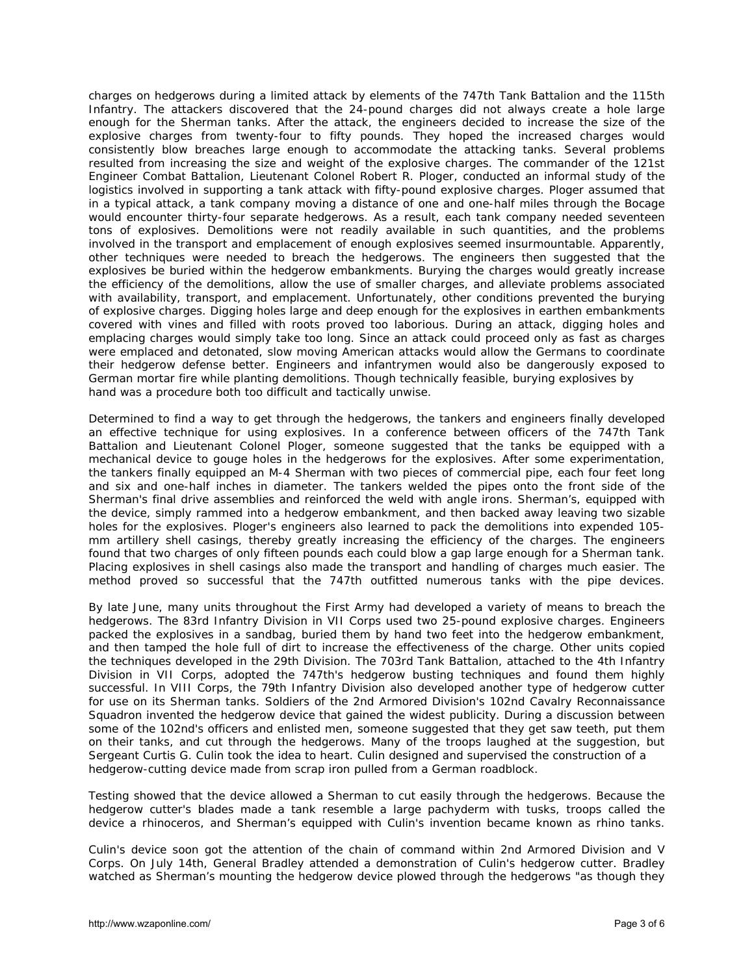charges on hedgerows during a limited attack by elements of the 747th Tank Battalion and the 115th Infantry. The attackers discovered that the 24-pound charges did not always create a hole large enough for the Sherman tanks. After the attack, the engineers decided to increase the size of the explosive charges from twenty-four to fifty pounds. They hoped the increased charges would consistently blow breaches large enough to accommodate the attacking tanks. Several problems resulted from increasing the size and weight of the explosive charges. The commander of the 121st Engineer Combat Battalion, Lieutenant Colonel Robert R. Ploger, conducted an informal study of the logistics involved in supporting a tank attack with fifty-pound explosive charges. Ploger assumed that in a typical attack, a tank company moving a distance of one and one-half miles through the *Bocage*  would encounter thirty-four separate hedgerows. As a result, each tank company needed seventeen tons of explosives. Demolitions were not readily available in such quantities, and the problems involved in the transport and emplacement of enough explosives seemed insurmountable. Apparently, other techniques were needed to breach the hedgerows. The engineers then suggested that the explosives be buried within the hedgerow embankments. Burying the charges would greatly increase the efficiency of the demolitions, allow the use of smaller charges, and alleviate problems associated with availability, transport, and emplacement. Unfortunately, other conditions prevented the burying of explosive charges. Digging holes large and deep enough for the explosives in earthen embankments covered with vines and filled with roots proved too laborious. During an attack, digging holes and emplacing charges would simply take too long. Since an attack could proceed only as fast as charges were emplaced and detonated, slow moving American attacks would allow the Germans to coordinate their hedgerow defense better. Engineers and infantrymen would also be dangerously exposed to German mortar fire while planting demolitions. Though technically feasible, burying explosives by hand was a procedure both too difficult and tactically unwise.

Determined to find a way to get through the hedgerows, the tankers and engineers finally developed an effective technique for using explosives. In a conference between officers of the 747th Tank Battalion and Lieutenant Colonel Ploger, someone suggested that the tanks be equipped with a mechanical device to gouge holes in the hedgerows for the explosives. After some experimentation, the tankers finally equipped an M-4 Sherman with two pieces of commercial pipe, each four feet long and six and one-half inches in diameter. The tankers welded the pipes onto the front side of the Sherman's final drive assemblies and reinforced the weld with angle irons. Sherman's, equipped with the device, simply rammed into a hedgerow embankment, and then backed away leaving two sizable holes for the explosives. Ploger's engineers also learned to pack the demolitions into expended 105 mm artillery shell casings, thereby greatly increasing the efficiency of the charges. The engineers found that two charges of only fifteen pounds each could blow a gap large enough for a Sherman tank. Placing explosives in shell casings also made the transport and handling of charges much easier. The method proved so successful that the 747th outfitted numerous tanks with the pipe devices.

By late June, many units throughout the First Army had developed a variety of means to breach the hedgerows. The 83rd Infantry Division in VII Corps used two 25-pound explosive charges. Engineers packed the explosives in a sandbag, buried them by hand two feet into the hedgerow embankment, and then tamped the hole full of dirt to increase the effectiveness of the charge. Other units copied the techniques developed in the 29th Division. The 703rd Tank Battalion, attached to the 4th Infantry Division in VII Corps, adopted the 747th's hedgerow busting techniques and found them highly successful. In VIII Corps, the 79th Infantry Division also developed another type of hedgerow cutter for use on its Sherman tanks. Soldiers of the 2nd Armored Division's 102nd Cavalry Reconnaissance Squadron invented the hedgerow device that gained the widest publicity. During a discussion between some of the 102nd's officers and enlisted men, someone suggested that they get saw teeth, put them on their tanks, and cut through the hedgerows. Many of the troops laughed at the suggestion, but Sergeant Curtis G. Culin took the idea to heart. Culin designed and supervised the construction of a hedgerow-cutting device made from scrap iron pulled from a German roadblock.

Testing showed that the device allowed a Sherman to cut easily through the hedgerows. Because the hedgerow cutter's blades made a tank resemble a large pachyderm with tusks, troops called the device a rhinoceros, and Sherman's equipped with Culin's invention became known as rhino tanks.

Culin's device soon got the attention of the chain of command within 2nd Armored Division and V Corps. On July 14th, General Bradley attended a demonstration of Culin's hedgerow cutter. Bradley watched as Sherman's mounting the hedgerow device plowed through the hedgerows "as though they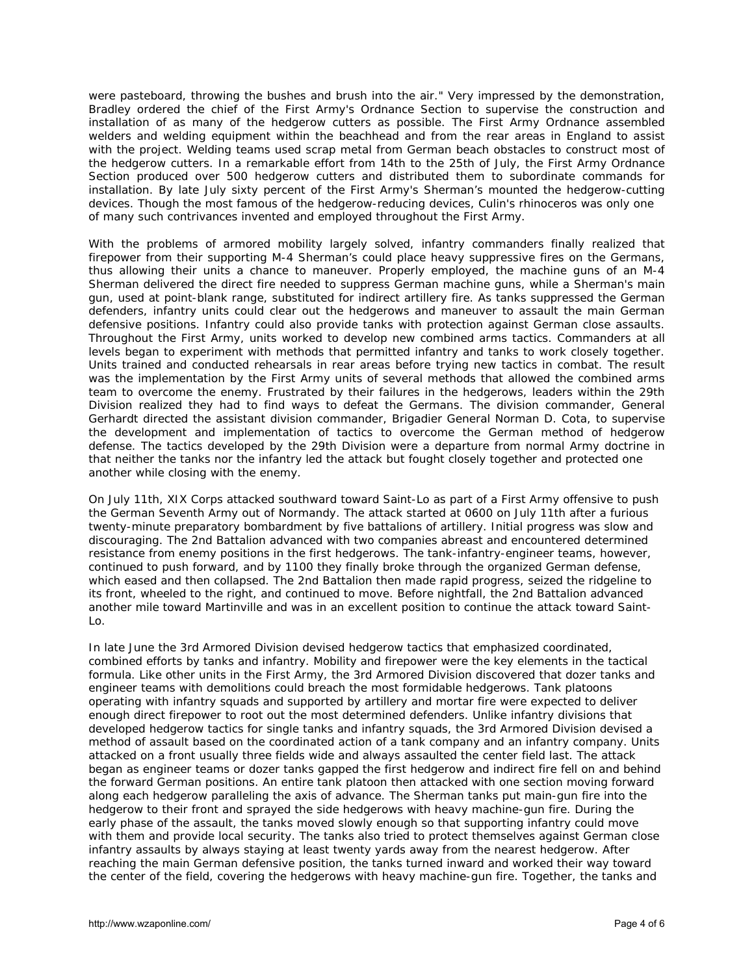were pasteboard, throwing the bushes and brush into the air." Very impressed by the demonstration, Bradley ordered the chief of the First Army's Ordnance Section to supervise the construction and installation of as many of the hedgerow cutters as possible. The First Army Ordnance assembled welders and welding equipment within the beachhead and from the rear areas in England to assist with the project. Welding teams used scrap metal from German beach obstacles to construct most of the hedgerow cutters. In a remarkable effort from 14th to the 25th of July, the First Army Ordnance Section produced over 500 hedgerow cutters and distributed them to subordinate commands for installation. By late July sixty percent of the First Army's Sherman's mounted the hedgerow-cutting devices. Though the most famous of the hedgerow-reducing devices, Culin's rhinoceros was only one of many such contrivances invented and employed throughout the First Army.

With the problems of armored mobility largely solved, infantry commanders finally realized that firepower from their supporting M-4 Sherman's could place heavy suppressive fires on the Germans, thus allowing their units a chance to maneuver. Properly employed, the machine guns of an M-4 Sherman delivered the direct fire needed to suppress German machine guns, while a Sherman's main gun, used at point-blank range, substituted for indirect artillery fire. As tanks suppressed the German defenders, infantry units could clear out the hedgerows and maneuver to assault the main German defensive positions. Infantry could also provide tanks with protection against German close assaults. Throughout the First Army, units worked to develop new combined arms tactics. Commanders at all levels began to experiment with methods that permitted infantry and tanks to work closely together. Units trained and conducted rehearsals in rear areas before trying new tactics in combat. The result was the implementation by the First Army units of several methods that allowed the combined arms team to overcome the enemy. Frustrated by their failures in the hedgerows, leaders within the 29th Division realized they had to find ways to defeat the Germans. The division commander, General Gerhardt directed the assistant division commander, Brigadier General Norman D. Cota, to supervise the development and implementation of tactics to overcome the German method of hedgerow defense. The tactics developed by the 29th Division were a departure from normal Army doctrine in that neither the tanks nor the infantry led the attack but fought closely together and protected one another while closing with the enemy.

On July 11th, XIX Corps attacked southward toward Saint-Lo as part of a First Army offensive to push the German Seventh Army out of Normandy. The attack started at 0600 on July 11th after a furious twenty-minute preparatory bombardment by five battalions of artillery. Initial progress was slow and discouraging. The 2nd Battalion advanced with two companies abreast and encountered determined resistance from enemy positions in the first hedgerows. The tank-infantry-engineer teams, however, continued to push forward, and by 1100 they finally broke through the organized German defense, which eased and then collapsed. The 2nd Battalion then made rapid progress, seized the ridgeline to its front, wheeled to the right, and continued to move. Before nightfall, the 2nd Battalion advanced another mile toward Martinville and was in an excellent position to continue the attack toward Saint-Lo.

In late June the 3rd Armored Division devised hedgerow tactics that emphasized coordinated, combined efforts by tanks and infantry. Mobility and firepower were the key elements in the tactical formula. Like other units in the First Army, the 3rd Armored Division discovered that dozer tanks and engineer teams with demolitions could breach the most formidable hedgerows. Tank platoons operating with infantry squads and supported by artillery and mortar fire were expected to deliver enough direct firepower to root out the most determined defenders. Unlike infantry divisions that developed hedgerow tactics for single tanks and infantry squads, the 3rd Armored Division devised a method of assault based on the coordinated action of a tank company and an infantry company. Units attacked on a front usually three fields wide and always assaulted the center field last. The attack began as engineer teams or dozer tanks gapped the first hedgerow and indirect fire fell on and behind the forward German positions. An entire tank platoon then attacked with one section moving forward along each hedgerow paralleling the axis of advance. The Sherman tanks put main-gun fire into the hedgerow to their front and sprayed the side hedgerows with heavy machine-gun fire. During the early phase of the assault, the tanks moved slowly enough so that supporting infantry could move with them and provide local security. The tanks also tried to protect themselves against German close infantry assaults by always staying at least twenty yards away from the nearest hedgerow. After reaching the main German defensive position, the tanks turned inward and worked their way toward the center of the field, covering the hedgerows with heavy machine-gun fire. Together, the tanks and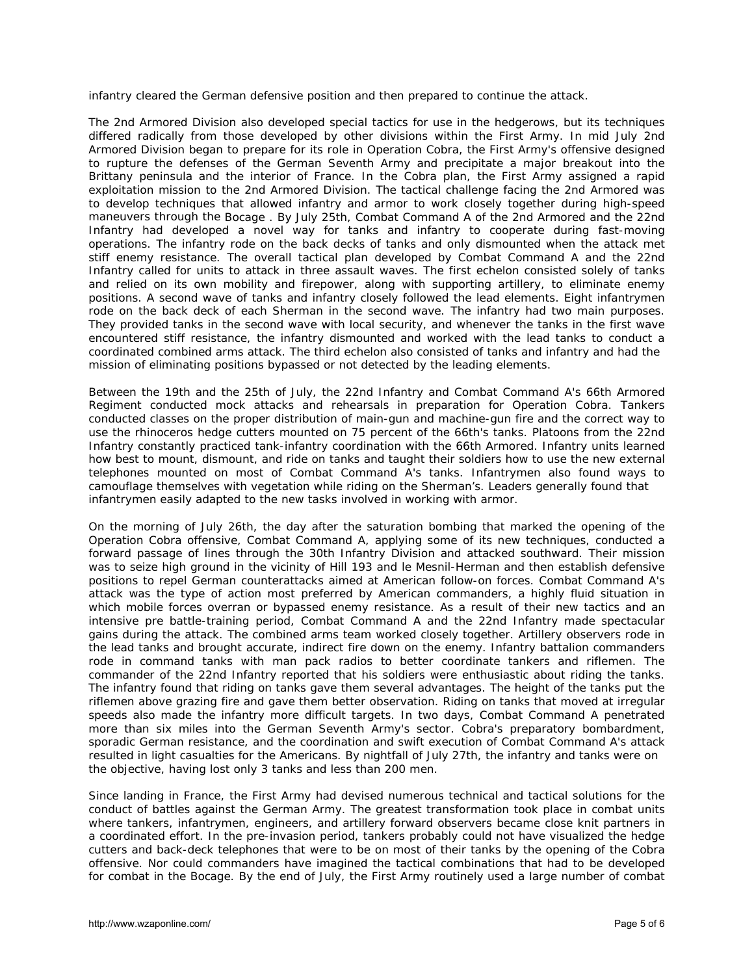infantry cleared the German defensive position and then prepared to continue the attack.

The 2nd Armored Division also developed special tactics for use in the hedgerows, but its techniques differed radically from those developed by other divisions within the First Army. In mid July 2nd Armored Division began to prepare for its role in Operation Cobra, the First Army's offensive designed to rupture the defenses of the German Seventh Army and precipitate a major breakout into the Brittany peninsula and the interior of France. In the Cobra plan, the First Army assigned a rapid exploitation mission to the 2nd Armored Division. The tactical challenge facing the 2nd Armored was to develop techniques that allowed infantry and armor to work closely together during high-speed maneuvers through the *Bocage* . By July 25th, Combat Command A of the 2nd Armored and the 22nd Infantry had developed a novel way for tanks and infantry to cooperate during fast-moving operations. The infantry rode on the back decks of tanks and only dismounted when the attack met stiff enemy resistance. The overall tactical plan developed by Combat Command A and the 22nd Infantry called for units to attack in three assault waves. The first echelon consisted solely of tanks and relied on its own mobility and firepower, along with supporting artillery, to eliminate enemy positions. A second wave of tanks and infantry closely followed the lead elements. Eight infantrymen rode on the back deck of each Sherman in the second wave. The infantry had two main purposes. They provided tanks in the second wave with local security, and whenever the tanks in the first wave encountered stiff resistance, the infantry dismounted and worked with the lead tanks to conduct a coordinated combined arms attack. The third echelon also consisted of tanks and infantry and had the mission of eliminating positions bypassed or not detected by the leading elements.

Between the 19th and the 25th of July, the 22nd Infantry and Combat Command A's 66th Armored Regiment conducted mock attacks and rehearsals in preparation for Operation Cobra. Tankers conducted classes on the proper distribution of main-gun and machine-gun fire and the correct way to use the rhinoceros hedge cutters mounted on 75 percent of the 66th's tanks. Platoons from the 22nd Infantry constantly practiced tank-infantry coordination with the 66th Armored. Infantry units learned how best to mount, dismount, and ride on tanks and taught their soldiers how to use the new external telephones mounted on most of Combat Command A's tanks. Infantrymen also found ways to camouflage themselves with vegetation while riding on the Sherman's. Leaders generally found that infantrymen easily adapted to the new tasks involved in working with armor.

On the morning of July 26th, the day after the saturation bombing that marked the opening of the Operation Cobra offensive, Combat Command A, applying some of its new techniques, conducted a forward passage of lines through the 30th Infantry Division and attacked southward. Their mission was to seize high ground in the vicinity of Hill 193 and le Mesnil-Herman and then establish defensive positions to repel German counterattacks aimed at American follow-on forces. Combat Command A's attack was the type of action most preferred by American commanders, a highly fluid situation in which mobile forces overran or bypassed enemy resistance. As a result of their new tactics and an intensive pre battle-training period, Combat Command A and the 22nd Infantry made spectacular gains during the attack. The combined arms team worked closely together. Artillery observers rode in the lead tanks and brought accurate, indirect fire down on the enemy. Infantry battalion commanders rode in command tanks with man pack radios to better coordinate tankers and riflemen. The commander of the 22nd Infantry reported that his soldiers were enthusiastic about riding the tanks. The infantry found that riding on tanks gave them several advantages. The height of the tanks put the riflemen above grazing fire and gave them better observation. Riding on tanks that moved at irregular speeds also made the infantry more difficult targets. In two days, Combat Command A penetrated more than six miles into the German Seventh Army's sector. Cobra's preparatory bombardment, sporadic German resistance, and the coordination and swift execution of Combat Command A's attack resulted in light casualties for the Americans. By nightfall of July 27th, the infantry and tanks were on the objective, having lost only 3 tanks and less than 200 men.

Since landing in France, the First Army had devised numerous technical and tactical solutions for the conduct of battles against the German Army. The greatest transformation took place in combat units where tankers, infantrymen, engineers, and artillery forward observers became close knit partners in a coordinated effort. In the pre-invasion period, tankers probably could not have visualized the hedge cutters and back-deck telephones that were to be on most of their tanks by the opening of the Cobra offensive. Nor could commanders have imagined the tactical combinations that had to be developed for combat in the *Bocage*. By the end of July, the First Army routinely used a large number of combat